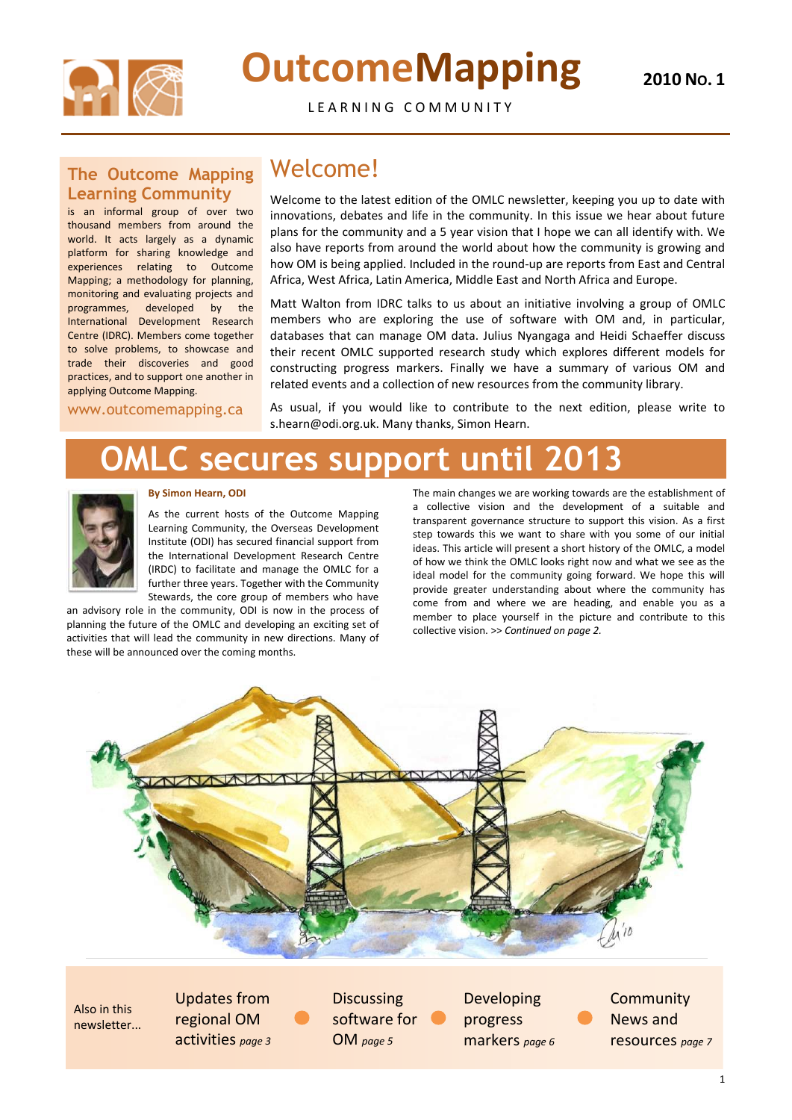

# **OutcomeMapping**

**2010 NO. 1**

LEARNING COMMUNITY

### Welcome!

Welcome to the latest edition of the OMLC newsletter, keeping you up to date with innovations, debates and life in the community. In this issue we hear about future plans for the community and a 5 year vision that I hope we can all identify with. We also have reports from around the world about how the community is growing and how OM is being applied. Included in the round-up are reports from East and Central Africa, West Africa, Latin America, Middle East and North Africa and Europe.

Matt Walton from IDRC talks to us about an initiative involving a group of OMLC members who are exploring the use of software with OM and, in particular, databases that can manage OM data. Julius Nyangaga and Heidi Schaeffer discuss their recent OMLC supported research study which explores different models for constructing progress markers. Finally we have a summary of various OM and related events and a collection of new resources from the community library.

As usual, if you would like to contribute to the next edition, please write to s.hearn@odi.org.uk. Many thanks, Simon Hearn.

# **OMLC secures support until 2013**



#### **By Simon Hearn, ODI**

As the current hosts of the Outcome Mapping Learning Community, the Overseas Development Institute (ODI) has secured financial support from the International Development Research Centre (IRDC) to facilitate and manage the OMLC for a further three years. Together with the Community Stewards, the core group of members who have

> **Community** News and resources *page 7*

**Discussing** software for OM *page 5*

an advisory role in the community, ODI is now in the process of planning the future of the OMLC and developing an exciting set of activities that will lead the community in new directions. Many of these will be announced over the coming months.

The main changes we are working towards are the establishment of a collective vision and the development of a suitable and transparent governance structure to support this vision. As a first step towards this we want to share with you some of our initial ideas. This article will present a short history of the OMLC, a model of how we think the OMLC looks right now and what we see as the ideal model for the community going forward. We hope this will provide greater understanding about where the community has come from and where we are heading, and enable you as a member to place yourself in the picture and contribute to this collective vision. >> *Continued on page 2.*



### **The Outcome Mapping Learning Community**

is an informal group of over two thousand members from around the world. It acts largely as a dynamic platform for sharing knowledge and experiences relating to Outcome Mapping; a methodology for planning, monitoring and evaluating projects and programmes, developed by the International Development Research Centre (IDRC). Members come together to solve problems, to showcase and trade their discoveries and good practices, and to support one another in applying Outcome Mapping.

www.outcomemapping.ca

Also in this newsletter...

Updates from regional OM activities *page 3* Developing progress markers *page 6*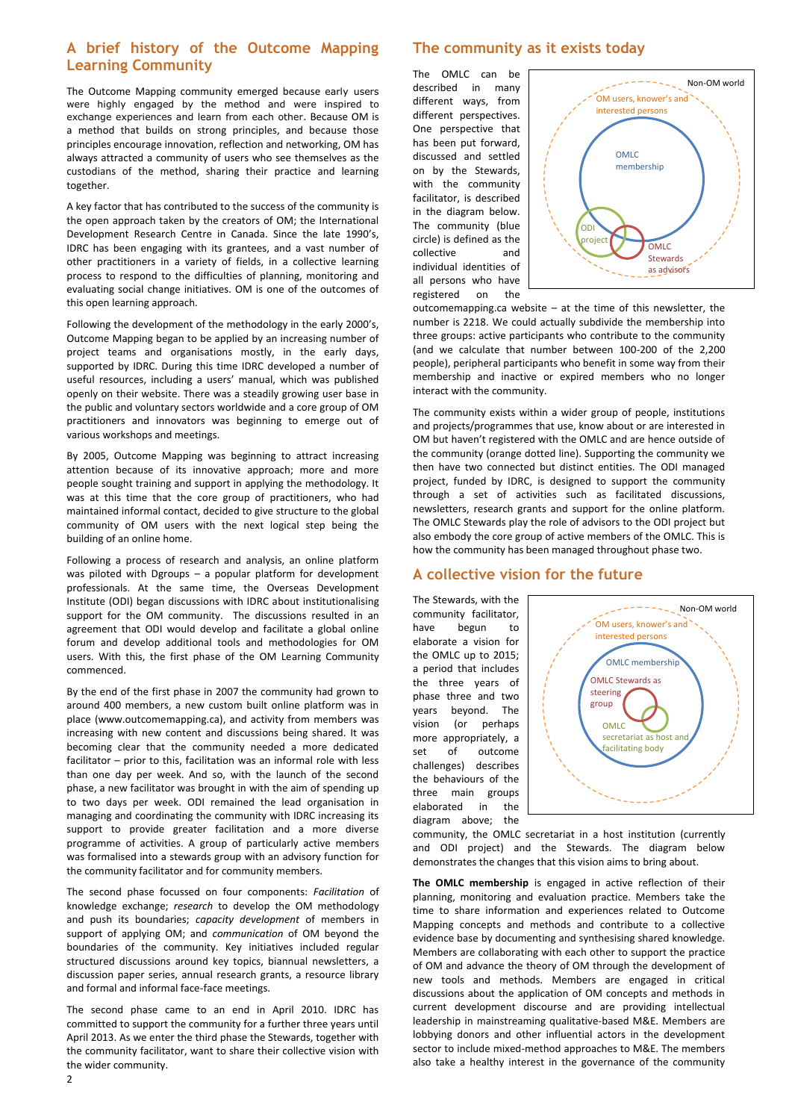2

### **A brief history of the Outcome Mapping Learning Community**

The Outcome Mapping community emerged because early users were highly engaged by the method and were inspired to exchange experiences and learn from each other. Because OM is a method that builds on strong principles, and because those principles encourage innovation, reflection and networking, OM has always attracted a community of users who see themselves as the custodians of the method, sharing their practice and learning together.

A key factor that has contributed to the success of the community is the open approach taken by the creators of OM; the International Development Research Centre in Canada. Since the late 1990's, IDRC has been engaging with its grantees, and a vast number of other practitioners in a variety of fields, in a collective learning process to respond to the difficulties of planning, monitoring and evaluating social change initiatives. OM is one of the outcomes of this open learning approach.

Following the development of the methodology in the early 2000's, Outcome Mapping began to be applied by an increasing number of project teams and organisations mostly, in the early days, supported by IDRC. During this time IDRC developed a number of useful resources, including a users' manual, which was published openly on their website. There was a steadily growing user base in the public and voluntary sectors worldwide and a core group of OM practitioners and innovators was beginning to emerge out of various workshops and meetings.

By 2005, Outcome Mapping was beginning to attract increasing attention because of its innovative approach; more and more people sought training and support in applying the methodology. It was at this time that the core group of practitioners, who had maintained informal contact, decided to give structure to the global community of OM users with the next logical step being the building of an online home.

Following a process of research and analysis, an online platform was piloted with Dgroups – a popular platform for development professionals. At the same time, the Overseas Development Institute (ODI) began discussions with IDRC about institutionalising support for the OM community. The discussions resulted in an agreement that ODI would develop and facilitate a global online forum and develop additional tools and methodologies for OM users. With this, the first phase of the OM Learning Community commenced.

By the end of the first phase in 2007 the community had grown to around 400 members, a new custom built online platform was in place (www.outcomemapping.ca), and activity from members was increasing with new content and discussions being shared. It was becoming clear that the community needed a more dedicated facilitator – prior to this, facilitation was an informal role with less than one day per week. And so, with the launch of the second phase, a new facilitator was brought in with the aim of spending up to two days per week. ODI remained the lead organisation in managing and coordinating the community with IDRC increasing its support to provide greater facilitation and a more diverse programme of activities. A group of particularly active members was formalised into a stewards group with an advisory function for the community facilitator and for community members.

The second phase focussed on four components: *Facilitation* of knowledge exchange; *research* to develop the OM methodology and push its boundaries; *capacity development* of members in support of applying OM; and *communication* of OM beyond the boundaries of the community. Key initiatives included regular structured discussions around key topics, biannual newsletters, a discussion paper series, annual research grants, a resource library and formal and informal face-face meetings.

The second phase came to an end in April 2010. IDRC has committed to support the community for a further three years until April 2013. As we enter the third phase the Stewards, together with the community facilitator, want to share their collective vision with the wider community.

### **The community as it exists today**

The OMLC can be described in many different ways, from different perspectives. One perspective that has been put forward, discussed and settled on by the Stewards, with the community facilitator, is described in the diagram below. The community (blue circle) is defined as the collective and individual identities of all persons who have registered on the

outcomemapping.ca website – at the time of this newsletter, the number is 2218. We could actually subdivide the membership into three groups: active participants who contribute to the community (and we calculate that number between 100-200 of the 2,200 people), peripheral participants who benefit in some way from their membership and inactive or expired members who no longer interact with the community.

The community exists within a wider group of people, institutions and projects/programmes that use, know about or are interested in OM but haven't registered with the OMLC and are hence outside of the community (orange dotted line). Supporting the community we then have two connected but distinct entities. The ODI managed project, funded by IDRC, is designed to support the community through a set of activities such as facilitated discussions, newsletters, research grants and support for the online platform. The OMLC Stewards play the role of advisors to the ODI project but also embody the core group of active members of the OMLC. This is how the community has been managed throughout phase two.

### **A collective vision for the future**

The Stewards, with the community facilitator, have begun to elaborate a vision for the OMLC up to 2015; a period that includes the three years of phase three and two years beyond. The vision (or perhaps more appropriately, a set of outcome challenges) describes the behaviours of the three main groups elaborated in the diagram above; the

community, the OMLC secretariat in a host institution (currently and ODI project) and the Stewards. The diagram below demonstrates the changes that this vision aims to bring about.

**The OMLC membership** is engaged in active reflection of their planning, monitoring and evaluation practice. Members take the time to share information and experiences related to Outcome Mapping concepts and methods and contribute to a collective evidence base by documenting and synthesising shared knowledge. Members are collaborating with each other to support the practice of OM and advance the theory of OM through the development of new tools and methods. Members are engaged in critical discussions about the application of OM concepts and methods in current development discourse and are providing intellectual leadership in mainstreaming qualitative-based M&E. Members are lobbying donors and other influential actors in the development sector to include mixed-method approaches to M&E. The members also take a healthy interest in the governance of the community



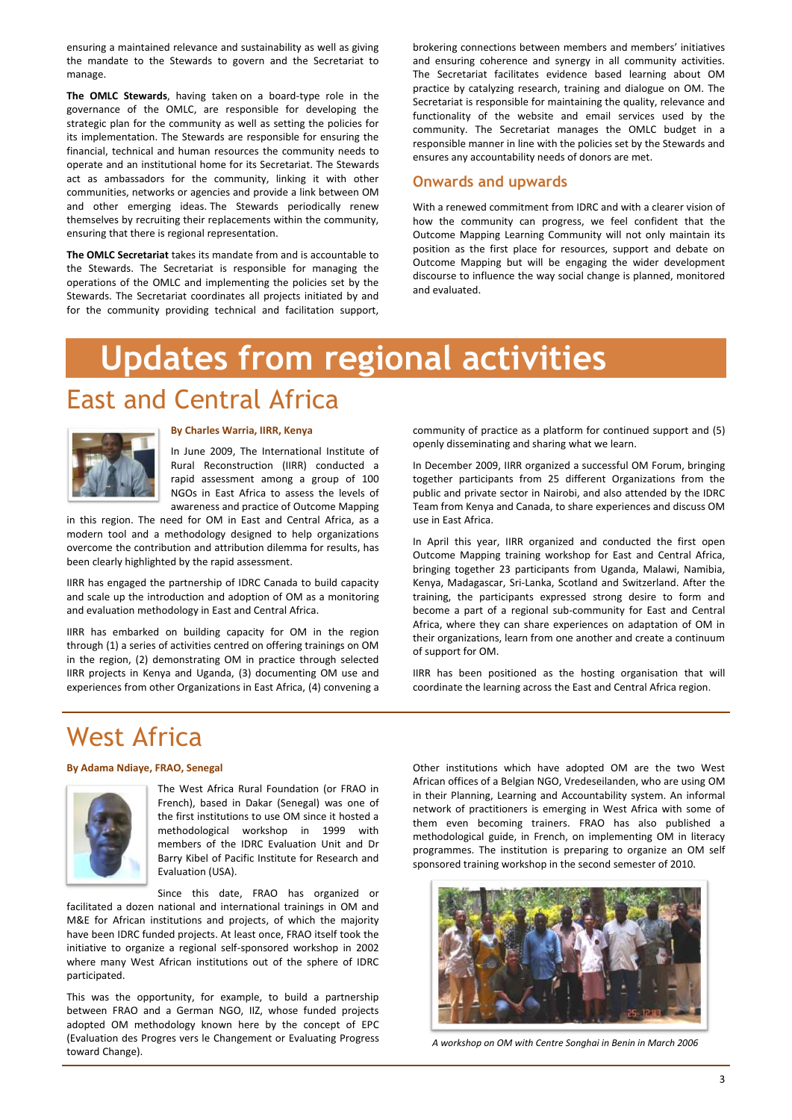ensuring a maintained relevance and sustainability as well as giving the mandate to the Stewards to govern and the Secretariat to manage.

**The OMLC Stewards**, having taken on a board-type role in the governance of the OMLC, are responsible for developing the strategic plan for the community as well as setting the policies for its implementation. The Stewards are responsible for ensuring the financial, technical and human resources the community needs to operate and an institutional home for its Secretariat. The Stewards act as ambassadors for the community, linking it with other communities, networks or agencies and provide a link between OM and other emerging ideas. The Stewards periodically renew themselves by recruiting their replacements within the community, ensuring that there is regional representation.

**The OMLC Secretariat** takes its mandate from and is accountable to the Stewards. The Secretariat is responsible for managing the operations of the OMLC and implementing the policies set by the Stewards. The Secretariat coordinates all projects initiated by and for the community providing technical and facilitation support, brokering connections between members and members' initiatives and ensuring coherence and synergy in all community activities. The Secretariat facilitates evidence based learning about OM practice by catalyzing research, training and dialogue on OM. The Secretariat is responsible for maintaining the quality, relevance and functionality of the website and email services used by the community. The Secretariat manages the OMLC budget in a responsible manner in line with the policies set by the Stewards and ensures any accountability needs of donors are met.

### **Onwards and upwards**

With a renewed commitment from IDRC and with a clearer vision of how the community can progress, we feel confident that the Outcome Mapping Learning Community will not only maintain its position as the first place for resources, support and debate on Outcome Mapping but will be engaging the wider development discourse to influence the way social change is planned, monitored and evaluated.

# **Updates from regional activities**

## East and Central Africa



#### **By Charles Warria, IIRR, Kenya**

In June 2009, The International Institute of Rural Reconstruction (IIRR) conducted a rapid assessment among a group of 100 NGOs in East Africa to assess the levels of awareness and practice of Outcome Mapping

in this region. The need for OM in East and Central Africa, as a modern tool and a methodology designed to help organizations overcome the contribution and attribution dilemma for results, has been clearly highlighted by the rapid assessment.

IIRR has engaged the partnership of IDRC Canada to build capacity and scale up the introduction and adoption of OM as a monitoring and evaluation methodology in East and Central Africa.

IIRR has embarked on building capacity for OM in the region through (1) a series of activities centred on offering trainings on OM in the region, (2) demonstrating OM in practice through selected IIRR projects in Kenya and Uganda, (3) documenting OM use and experiences from other Organizations in East Africa, (4) convening a community of practice as a platform for continued support and (5) openly disseminating and sharing what we learn.

In December 2009, IIRR organized a successful OM Forum, bringing together participants from 25 different Organizations from the public and private sector in Nairobi, and also attended by the IDRC Team from Kenya and Canada, to share experiences and discuss OM use in East Africa.

In April this year, IIRR organized and conducted the first open Outcome Mapping training workshop for East and Central Africa, bringing together 23 participants from Uganda, Malawi, Namibia, Kenya, Madagascar, Sri-Lanka, Scotland and Switzerland. After the training, the participants expressed strong desire to form and become a part of a regional sub-community for East and Central Africa, where they can share experiences on adaptation of OM in their organizations, learn from one another and create a continuum of support for OM.

IIRR has been positioned as the hosting organisation that will coordinate the learning across the East and Central Africa region.

## West Africa

#### **By Adama Ndiaye, FRAO, Senegal**



The West Africa Rural Foundation (or FRAO in French), based in Dakar (Senegal) was one of the first institutions to use OM since it hosted a methodological workshop in 1999 with members of the IDRC Evaluation Unit and Dr Barry Kibel of Pacific Institute for Research and Evaluation (USA).

Since this date, FRAO has organized or facilitated a dozen national and international trainings in OM and M&E for African institutions and projects, of which the majority have been IDRC funded projects. At least once, FRAO itself took the initiative to organize a regional self-sponsored workshop in 2002 where many West African institutions out of the sphere of IDRC participated.

This was the opportunity, for example, to build a partnership between FRAO and a German NGO, IIZ, whose funded projects adopted OM methodology known here by the concept of EPC (Evaluation des Progres vers le Changement or Evaluating Progress toward Change).

Other institutions which have adopted OM are the two West African offices of a Belgian NGO, Vredeseilanden, who are using OM in their Planning, Learning and Accountability system. An informal network of practitioners is emerging in West Africa with some of them even becoming trainers. FRAO has also published a methodological guide, in French, on implementing OM in literacy

programmes. The institution is preparing to organize an OM self sponsored training workshop in the second semester of 2010.



*A workshop on OM with Centre Songhai in Benin in March 2006*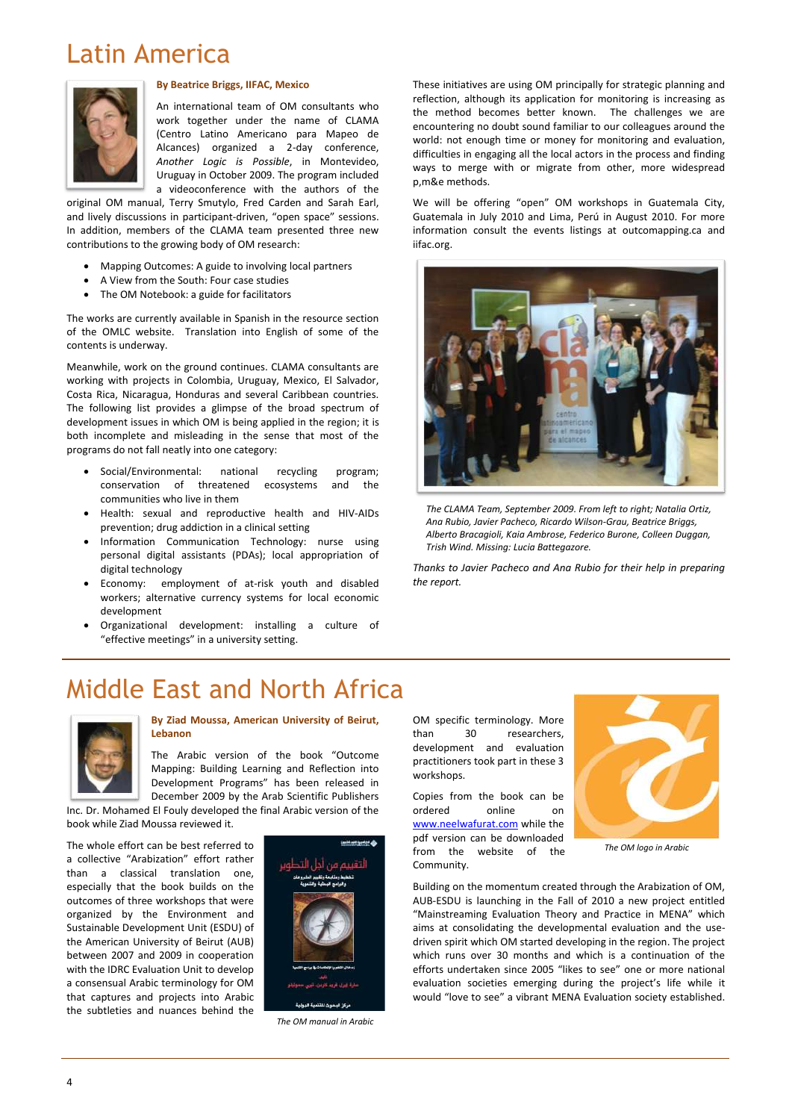## Latin America



#### **By Beatrice Briggs, IIFAC, Mexico**

An international team of OM consultants who work together under the name of CLAMA (Centro Latino Americano para Mapeo de Alcances) organized a 2-day conference, *Another Logic is Possible*, in Montevideo, Uruguay in October 2009. The program included a videoconference with the authors of the

- Mapping Outcomes: A guide to involving local partners
- A View from the South: Four case studies
- The OM Notebook: a guide for facilitators

original OM manual, Terry Smutylo, Fred Carden and Sarah Earl, and lively discussions in participant-driven, "open space" sessions. In addition, members of the CLAMA team presented three new contributions to the growing body of OM research:

The works are currently available in Spanish in the resource section of the OMLC website. Translation into English of some of the contents is underway.

Meanwhile, work on the ground continues. CLAMA consultants are working with projects in Colombia, Uruguay, Mexico, El Salvador, Costa Rica, Nicaragua, Honduras and several Caribbean countries. The following list provides a glimpse of the broad spectrum of development issues in which OM is being applied in the region; it is both incomplete and misleading in the sense that most of the programs do not fall neatly into one category:

- Social/Environmental: national recycling program; conservation of threatened ecosystems and the communities who live in them
- Health: sexual and reproductive health and HIV-AIDs prevention; drug addiction in a clinical setting
- Information Communication Technology: nurse using personal digital assistants (PDAs); local appropriation of digital technology
- Economy: employment of at-risk youth and disabled workers; alternative currency systems for local economic development
- Organizational development: installing a culture of "effective meetings" in a university setting.

These initiatives are using OM principally for strategic planning and reflection, although its application for monitoring is increasing as the method becomes better known. The challenges we are encountering no doubt sound familiar to our colleagues around the world: not enough time or money for monitoring and evaluation, difficulties in engaging all the local actors in the process and finding ways to merge with or migrate from other, more widespread p,m&e methods.

We will be offering "open" OM workshops in Guatemala City, Guatemala in July 2010 and Lima, Perú in August 2010. For more information consult the events listings at outcomapping.ca and iifac.org.



*The CLAMA Team, September 2009. From left to right; Natalia Ortiz, Ana Rubio, Javier Pacheco, Ricardo Wilson-Grau, Beatrice Briggs, Alberto Bracagioli, Kaia Ambrose, Federico Burone, Colleen Duggan, Trish Wind. Missing: Lucia Battegazore.*

*Thanks to Javier Pacheco and Ana Rubio for their help in preparing the report.*

## Middle East and North Africa



#### **By Ziad Moussa, American University of Beirut, Lebanon**

The Arabic version of the book "Outcome Mapping: Building Learning and Reflection into Development Programs" has been released in December 2009 by the Arab Scientific Publishers

Inc. Dr. Mohamed El Fouly developed the final Arabic version of the book while Ziad Moussa reviewed it.

The whole effort can be best referred to



a collective "Arabization" effort rather than a classical translation one, especially that the book builds on the outcomes of three workshops that were organized by the Environment and Sustainable Development Unit (ESDU) of the American University of Beirut (AUB) between 2007 and 2009 in cooperation with the IDRC Evaluation Unit to develop a consensual Arabic terminology for OM that captures and projects into Arabic the subtleties and nuances behind the



OM specific terminology. More than 30 researchers, development and evaluation practitioners took part in these 3 workshops.

Copies from the book can be ordered online on [www.neelwafurat.com](http://www.neelwafurat.com/) while the pdf version can be downloaded



from the website of the Community.

Building on the momentum created through the Arabization of OM, AUB-ESDU is launching in the Fall of 2010 a new project entitled "Mainstreaming Evaluation Theory and Practice in MENA" which aims at consolidating the developmental evaluation and the usedriven spirit which OM started developing in the region. The project which runs over 30 months and which is a continuation of the efforts undertaken since 2005 "likes to see" one or more national evaluation societies emerging during the project's life while it would "love to see" a vibrant MENA Evaluation society established.

*The OM manual in Arabic*

*The OM logo in Arabic*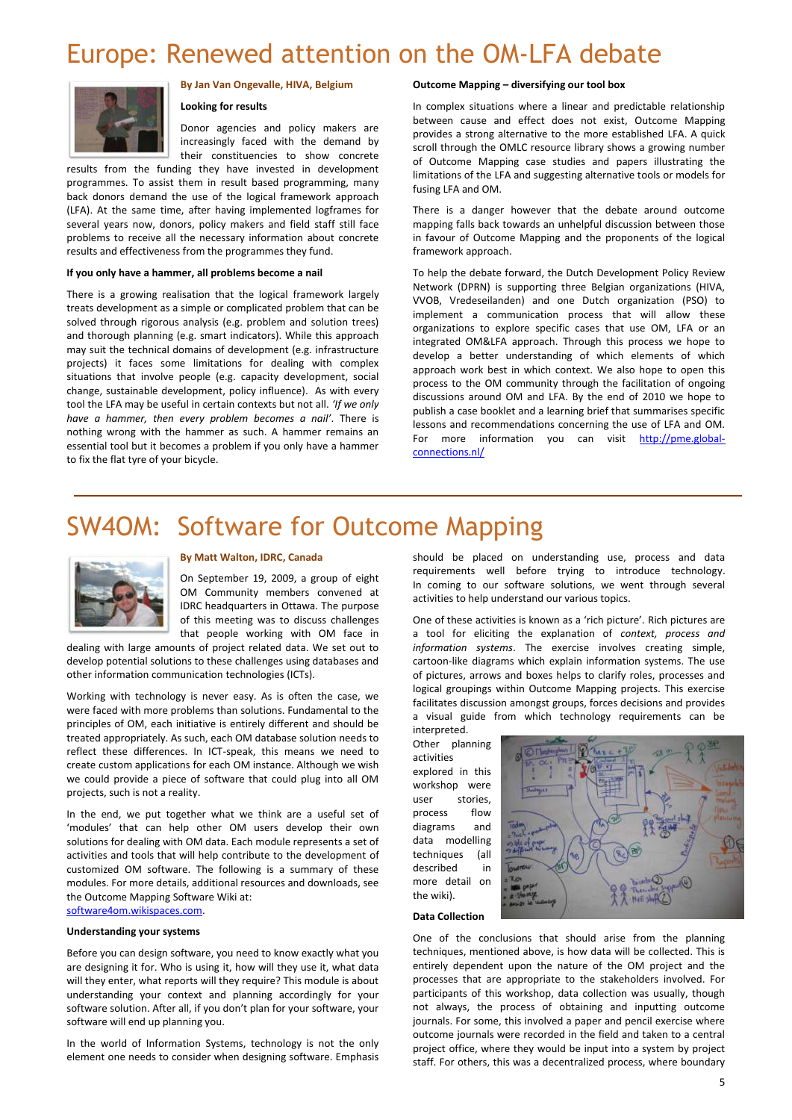## Europe: Renewed attention on the OM-LFA debate



#### **By Jan Van Ongevalle, HIVA, Belgium**

#### **Looking for results**

Donor agencies and policy makers are increasingly faced with the demand by their constituencies to show concrete

results from the funding they have invested in development programmes. To assist them in result based programming, many back donors demand the use of the logical framework approach (LFA). At the same time, after having implemented logframes for several years now, donors, policy makers and field staff still face problems to receive all the necessary information about concrete results and effectiveness from the programmes they fund.

#### **If you only have a hammer, all problems become a nail**

There is a growing realisation that the logical framework largely treats development as a simple or complicated problem that can be solved through rigorous analysis (e.g. problem and solution trees) and thorough planning (e.g. smart indicators). While this approach may suit the technical domains of development (e.g. infrastructure projects) it faces some limitations for dealing with complex situations that involve people (e.g. capacity development, social change, sustainable development, policy influence). As with every tool the LFA may be useful in certain contexts but not all. *'If we only have a hammer, then every problem becomes a nail'*. There is nothing wrong with the hammer as such. A hammer remains an essential tool but it becomes a problem if you only have a hammer to fix the flat tyre of your bicycle.

#### **Outcome Mapping – diversifying our tool box**

In complex situations where a linear and predictable relationship between cause and effect does not exist, Outcome Mapping provides a strong alternative to the more established LFA. A quick scroll through the OMLC resource library shows a growing number of Outcome Mapping case studies and papers illustrating the limitations of the LFA and suggesting alternative tools or models for fusing LFA and OM.

There is a danger however that the debate around outcome mapping falls back towards an unhelpful discussion between those in favour of Outcome Mapping and the proponents of the logical framework approach.

To help the debate forward, the Dutch Development Policy Review Network (DPRN) is supporting three Belgian organizations (HIVA, VVOB, Vredeseilanden) and one Dutch organization (PSO) to implement a communication process that will allow these organizations to explore specific cases that use OM, LFA or an integrated OM&LFA approach. Through this process we hope to develop a better understanding of which elements of which approach work best in which context. We also hope to open this process to the OM community through the facilitation of ongoing discussions around OM and LFA. By the end of 2010 we hope to publish a case booklet and a learning brief that summarises specific lessons and recommendations concerning the use of LFA and OM. For more information you can visit [http://pme.global](http://pme.global-connections.nl/)[connections.nl/](http://pme.global-connections.nl/)

## SW4OM: Software for Outcome Mapping



#### **By Matt Walton, IDRC, Canada**

On September 19, 2009, a group of eight OM Community members convened at IDRC headquarters in Ottawa. The purpose of this meeting was to discuss challenges that people working with OM face in

dealing with large amounts of project related data. We set out to develop potential solutions to these challenges using databases and other information communication technologies (ICTs).

Working with technology is never easy. As is often the case, we were faced with more problems than solutions. Fundamental to the principles of OM, each initiative is entirely different and should be treated appropriately. As such, each OM database solution needs to reflect these differences. In ICT-speak, this means we need to create custom applications for each OM instance. Although we wish we could provide a piece of software that could plug into all OM projects, such is not a reality.

In the end, we put together what we think are a useful set of 'modules' that can help other OM users develop their own solutions for dealing with OM data. Each module represents a set of activities and tools that will help contribute to the development of customized OM software. The following is a summary of these modules. For more details, additional resources and downloads, see the Outcome Mapping Software Wiki at:

[software4om.wikispaces.com.](https://rapid.odinet.org.uk/rip/rap0065/rap0065shared/Process/AppData/Local/Microsoft/Windows/Temporary%20Internet%20Files/Content.Outlook/5Y9Z5N7J/software4om.wikispaces.com)

#### **Understanding your systems**

Before you can design software, you need to know exactly what you are designing it for. Who is using it, how will they use it, what data will they enter, what reports will they require? This module is about understanding your context and planning accordingly for your software solution. After all, if you don't plan for your software, your software will end up planning you.

In the world of Information Systems, technology is not the only element one needs to consider when designing software. Emphasis

should be placed on understanding use, process and data requirements well before trying to introduce technology. In coming to our software solutions, we went through several activities to help understand our various topics.

One of these activities is known as a 'rich picture'. Rich pictures are a tool for eliciting the explanation of *context, process and information systems*. The exercise involves creating simple, cartoon-like diagrams which explain information systems. The use of pictures, arrows and boxes helps to clarify roles, processes and logical groupings within Outcome Mapping projects. This exercise facilitates discussion amongst groups, forces decisions and provides a visual guide from which technology requirements can be

interpreted. Other planning activities explored in this workshop were user stories, process flow diagrams and data modelling techniques (all described in more detail on the wiki).





One of the conclusions that should arise from the planning techniques, mentioned above, is how data will be collected. This is entirely dependent upon the nature of the OM project and the processes that are appropriate to the stakeholders involved. For participants of this workshop, data collection was usually, though not always, the process of obtaining and inputting outcome journals. For some, this involved a paper and pencil exercise where outcome journals were recorded in the field and taken to a central project office, where they would be input into a system by project staff. For others, this was a decentralized process, where boundary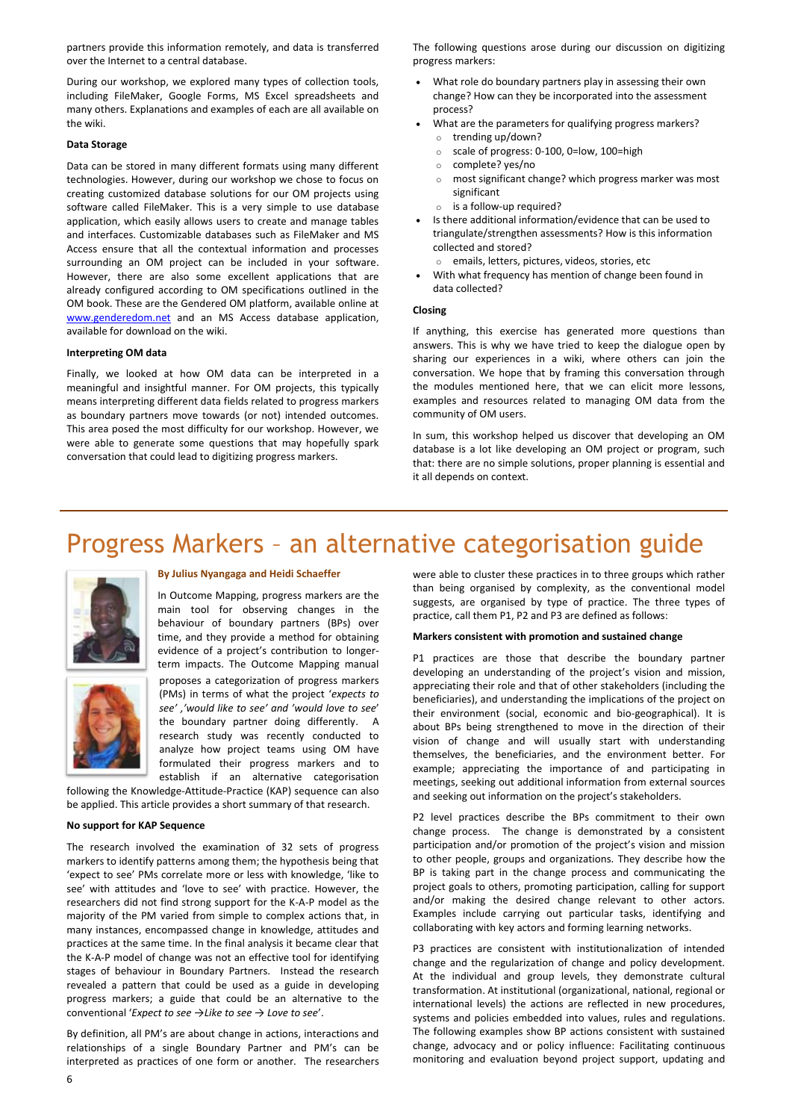partners provide this information remotely, and data is transferred over the Internet to a central database.

During our workshop, we explored many types of collection tools, including FileMaker, Google Forms, MS Excel spreadsheets and many others. Explanations and examples of each are all available on the wiki.

#### **Data Storage**

Data can be stored in many different formats using many different technologies. However, during our workshop we chose to focus on creating customized database solutions for our OM projects using software called FileMaker. This is a very simple to use database application, which easily allows users to create and manage tables and interfaces. Customizable databases such as FileMaker and MS Access ensure that all the contextual information and processes surrounding an OM project can be included in your software. However, there are also some excellent applications that are already configured according to OM specifications outlined in the OM book. These are the Gendered OM platform, available online at [www.genderedom.net](http://www.genderedom.net/) and an MS Access database application, available for download on the wiki.

#### **Interpreting OM data**

Finally, we looked at how OM data can be interpreted in a meaningful and insightful manner. For OM projects, this typically means interpreting different data fields related to progress markers as boundary partners move towards (or not) intended outcomes. This area posed the most difficulty for our workshop. However, we were able to generate some questions that may hopefully spark conversation that could lead to digitizing progress markers.

The following questions arose during our discussion on digitizing progress markers:

- What role do boundary partners play in assessing their own change? How can they be incorporated into the assessment process?
- What are the parameters for qualifying progress markers?
	- o trending up/down?
	- o scale of progress: 0-100, 0=low, 100=high
	- o complete? yes/no
	- o most significant change? which progress marker was most significant
	- $\circ$  is a follow-up required?
- Is there additional information/evidence that can be used to triangulate/strengthen assessments? How is this information collected and stored?
	- o emails, letters, pictures, videos, stories, etc
- With what frequency has mention of change been found in data collected?

#### **Closing**

If anything, this exercise has generated more questions than answers. This is why we have tried to keep the dialogue open by sharing our experiences in a wiki, where others can join the conversation. We hope that by framing this conversation through the modules mentioned here, that we can elicit more lessons, examples and resources related to managing OM data from the community of OM users.

In sum, this workshop helped us discover that developing an OM database is a lot like developing an OM project or program, such that: there are no simple solutions, proper planning is essential and it all depends on context.

## Progress Markers – an alternative categorisation guide





#### **By Julius Nyangaga and Heidi Schaeffer**

In Outcome Mapping, progress markers are the main tool for observing changes in the behaviour of boundary partners (BPs) over time, and they provide a method for obtaining evidence of a project's contribution to longerterm impacts. The Outcome Mapping manual

proposes a categorization of progress markers (PMs) in terms of what the project '*expects to see' ,'would like to see' and 'would love to see*' the boundary partner doing differently. A research study was recently conducted to analyze how project teams using OM have formulated their progress markers and to establish if an alternative categorisation

following the Knowledge-Attitude-Practice (KAP) sequence can also be applied. This article provides a short summary of that research.

#### **No support for KAP Sequence**

The research involved the examination of 32 sets of progress markers to identify patterns among them; the hypothesis being that 'expect to see' PMs correlate more or less with knowledge, 'like to see' with attitudes and 'love to see' with practice. However, the researchers did not find strong support for the K-A-P model as the majority of the PM varied from simple to complex actions that, in many instances, encompassed change in knowledge, attitudes and practices at the same time. In the final analysis it became clear that the K-A-P model of change was not an effective tool for identifying stages of behaviour in Boundary Partners. Instead the research revealed a pattern that could be used as a guide in developing progress markers; a guide that could be an alternative to the conventional '*Expect to see →Like to see → Love to see*'.

By definition, all PM's are about change in actions, interactions and relationships of a single Boundary Partner and PM's can be interpreted as practices of one form or another. The researchers were able to cluster these practices in to three groups which rather than being organised by complexity, as the conventional model suggests, are organised by type of practice. The three types of practice, call them P1, P2 and P3 are defined as follows:

#### **Markers consistent with promotion and sustained change**

P1 practices are those that describe the boundary partner developing an understanding of the project's vision and mission, appreciating their role and that of other stakeholders (including the beneficiaries), and understanding the implications of the project on their environment (social, economic and bio-geographical). It is about BPs being strengthened to move in the direction of their vision of change and will usually start with understanding themselves, the beneficiaries, and the environment better. For example; appreciating the importance of and participating in meetings, seeking out additional information from external sources and seeking out information on the project's stakeholders.

P2 level practices describe the BPs commitment to their own change process. The change is demonstrated by a consistent participation and/or promotion of the project's vision and mission to other people, groups and organizations. They describe how the BP is taking part in the change process and communicating the project goals to others, promoting participation, calling for support and/or making the desired change relevant to other actors. Examples include carrying out particular tasks, identifying and collaborating with key actors and forming learning networks.

P3 practices are consistent with institutionalization of intended change and the regularization of change and policy development. At the individual and group levels, they demonstrate cultural transformation. At institutional (organizational, national, regional or international levels) the actions are reflected in new procedures, systems and policies embedded into values, rules and regulations. The following examples show BP actions consistent with sustained change, advocacy and or policy influence: Facilitating continuous monitoring and evaluation beyond project support, updating and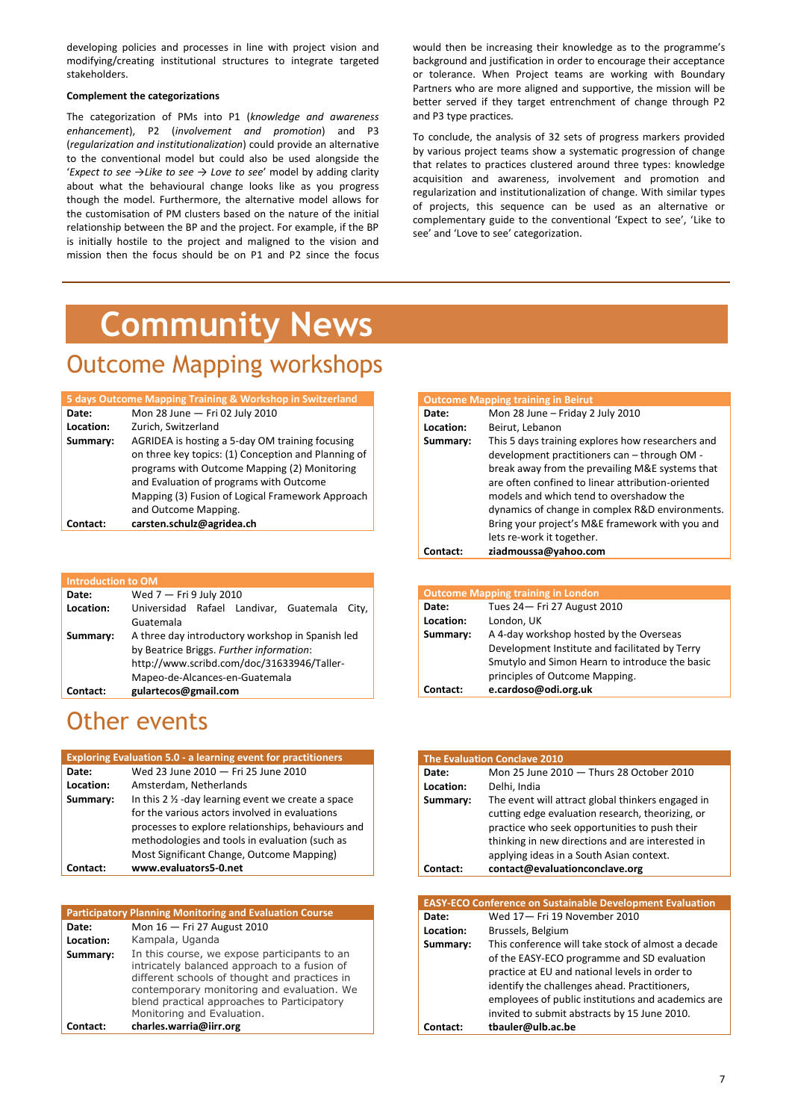7

developing policies and processes in line with project vision and modifying/creating institutional structures to integrate targeted stakeholders.

#### **Complement the categorizations**

The categorization of PMs into P1 (*knowledge and awareness enhancement*), P2 (*involvement and promotion*) and P3 (*regularization and institutionalization*) could provide an alternative to the conventional model but could also be used alongside the '*Expect to see →Like to see → Love to see*' model by adding clarity about what the behavioural change looks like as you progress though the model. Furthermore, the alternative model allows for the customisation of PM clusters based on the nature of the initial relationship between the BP and the project. For example, if the BP is initially hostile to the project and maligned to the vision and mission then the focus should be on P1 and P2 since the focus

would then be increasing their knowledge as to the programme's background and justification in order to encourage their acceptance or tolerance. When Project teams are working with Boundary Partners who are more aligned and supportive, the mission will be better served if they target entrenchment of change through P2 and P3 type practices*.*

To conclude, the analysis of 32 sets of progress markers provided by various project teams show a systematic progression of change that relates to practices clustered around three types: knowledge acquisition and awareness, involvement and promotion and regularization and institutionalization of change. With similar types of projects, this sequence can be used as an alternative or complementary guide to the conventional 'Expect to see', 'Like to see' and 'Love to see' categorization.

# **Community News**

### Outcome Mapping workshops

### Other events

| 5 days Outcome Mapping Training & Workshop in Switzerland |                                                     |
|-----------------------------------------------------------|-----------------------------------------------------|
| Date:                                                     | Mon 28 June - Fri 02 July 2010                      |
| Location:                                                 | Zurich, Switzerland                                 |
| Summary:                                                  | AGRIDEA is hosting a 5-day OM training focusing     |
|                                                           | on three key topics: (1) Conception and Planning of |
|                                                           | programs with Outcome Mapping (2) Monitoring        |
|                                                           | and Evaluation of programs with Outcome             |
|                                                           | Mapping (3) Fusion of Logical Framework Approach    |
|                                                           | and Outcome Mapping.                                |
| Contact:                                                  | carsten.schulz@agridea.ch                           |

| <b>Outcome Mapping training in Beirut</b> |                                                   |
|-------------------------------------------|---------------------------------------------------|
| Date:                                     | Mon 28 June - Friday 2 July 2010                  |
| Location:                                 | Beirut, Lebanon                                   |
| Summary:                                  | This 5 days training explores how researchers and |
|                                           | development practitioners can - through OM -      |
|                                           | break away from the prevailing M&E systems that   |
|                                           | are often confined to linear attribution-oriented |
|                                           | models and which tend to overshadow the           |
|                                           | dynamics of change in complex R&D environments.   |
|                                           | Bring your project's M&E framework with you and   |
|                                           | lets re-work it together.                         |
| Contact:                                  | ziadmoussa@yahoo.com                              |

| <b>Introduction to OM</b> |                                                  |
|---------------------------|--------------------------------------------------|
| Date:                     | Wed 7 - Fri 9 July 2010                          |
| Location:                 | Universidad Rafael Landivar, Guatemala<br>City,  |
|                           | Guatemala                                        |
| Summary:                  | A three day introductory workshop in Spanish led |
|                           | by Beatrice Briggs. Further information:         |
|                           | http://www.scribd.com/doc/31633946/Taller-       |
|                           | Mapeo-de-Alcances-en-Guatemala                   |
| Contact:                  | gulartecos@gmail.com                             |

| <b>Outcome Mapping training in London</b> |                                                |
|-------------------------------------------|------------------------------------------------|
| Date:                                     | Tues 24 - Fri 27 August 2010                   |
| Location:                                 | London, UK                                     |
| Summary:                                  | A 4-day workshop hosted by the Overseas        |
|                                           | Development Institute and facilitated by Terry |
|                                           | Smutylo and Simon Hearn to introduce the basic |
|                                           | principles of Outcome Mapping.                 |
| Contact:                                  | e.cardoso@odi.org.uk                           |

| <b>Exploring Evaluation 5.0 - a learning event for practitioners</b> |                                                               |
|----------------------------------------------------------------------|---------------------------------------------------------------|
| Date:                                                                | Wed 23 June 2010 - Fri 25 June 2010                           |
| Location:                                                            | Amsterdam, Netherlands                                        |
| Summary:                                                             | In this $2 \frac{1}{2}$ -day learning event we create a space |
|                                                                      | for the various actors involved in evaluations                |
|                                                                      | processes to explore relationships, behaviours and            |
|                                                                      | methodologies and tools in evaluation (such as                |

Most Significant Change, Outcome Mapping)

**Contact: www.evaluators5-0.net**

| <b>The Evaluation Conclave 2010</b> |                                                                                                                                                                                                                                                        |
|-------------------------------------|--------------------------------------------------------------------------------------------------------------------------------------------------------------------------------------------------------------------------------------------------------|
| Date:                               | Mon 25 June 2010 - Thurs 28 October 2010                                                                                                                                                                                                               |
| Location:                           | Delhi, India                                                                                                                                                                                                                                           |
| Summary:                            | The event will attract global thinkers engaged in<br>cutting edge evaluation research, theorizing, or<br>practice who seek opportunities to push their<br>thinking in new directions and are interested in<br>applying ideas in a South Asian context. |
| Contact:                            | contact@evaluationconclave.org                                                                                                                                                                                                                         |

| <b>Participatory Planning Monitoring and Evaluation Course</b> |                                                                                                                                                                                                                                                                          |
|----------------------------------------------------------------|--------------------------------------------------------------------------------------------------------------------------------------------------------------------------------------------------------------------------------------------------------------------------|
| Date:                                                          | Mon 16 - Fri 27 August 2010                                                                                                                                                                                                                                              |
| Location:                                                      | Kampala, Uganda                                                                                                                                                                                                                                                          |
| Summary:                                                       | In this course, we expose participants to an<br>intricately balanced approach to a fusion of<br>different schools of thought and practices in<br>contemporary monitoring and evaluation. We<br>blend practical approaches to Participatory<br>Monitoring and Evaluation. |
| Contact:                                                       | charles.warria@iirr.org                                                                                                                                                                                                                                                  |

| <b>EASY-ECO Conference on Sustainable Development Evaluation</b> |                                                    |
|------------------------------------------------------------------|----------------------------------------------------|
| Date:                                                            | Wed 17-Fri 19 November 2010                        |
| Location:                                                        | Brussels, Belgium                                  |
| Summary:                                                         | This conference will take stock of almost a decade |
|                                                                  | of the EASY-ECO programme and SD evaluation        |
|                                                                  | practice at EU and national levels in order to     |
|                                                                  | identify the challenges ahead. Practitioners,      |
|                                                                  | employees of public institutions and academics are |
|                                                                  | invited to submit abstracts by 15 June 2010.       |
|                                                                  | tbauler@ulb.ac.be                                  |